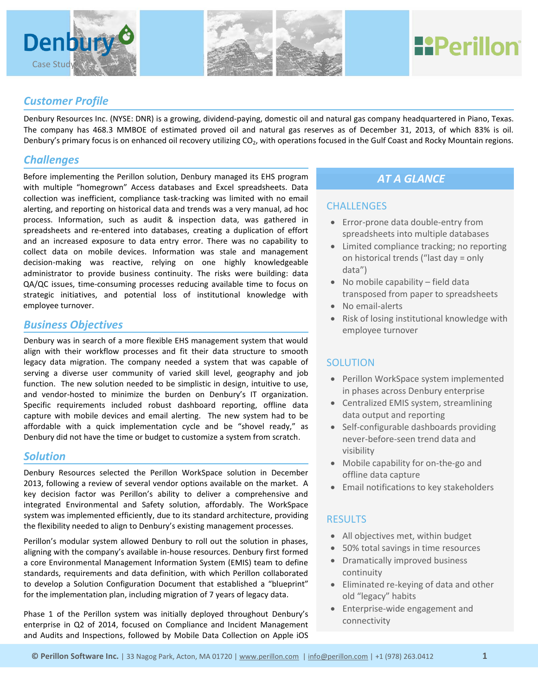



# **HPerillon**

## *Customer Profile*

Denbury Resources Inc. (NYSE: DNR) is a growing, dividend-paying, domestic oil and natural gas company headquartered in Piano, Texas. The company has 468.3 MMBOE of estimated proved oil and natural gas reserves as of December 31, 2013, of which 83% is oil. Denbury's primary focus is on enhanced oil recovery utilizing CO<sub>2</sub>, with operations focused in the Gulf Coast and Rocky Mountain regions.

## *Challenges*

Before implementing the Perillon solution, Denbury managed its EHS program with multiple "homegrown" Access databases and Excel spreadsheets. Data collection was inefficient, compliance task-tracking was limited with no email alerting, and reporting on historical data and trends was a very manual, ad hoc process. Information, such as audit & inspection data, was gathered in spreadsheets and re-entered into databases, creating a duplication of effort and an increased exposure to data entry error. There was no capability to collect data on mobile devices. Information was stale and management decision-making was reactive, relying on one highly knowledgeable administrator to provide business continuity. The risks were building: data QA/QC issues, time-consuming processes reducing available time to focus on strategic initiatives, and potential loss of institutional knowledge with employee turnover.

## *Business Objectives*

Denbury was in search of a more flexible EHS management system that would align with their workflow processes and fit their data structure to smooth legacy data migration. The company needed a system that was capable of serving a diverse user community of varied skill level, geography and job function. The new solution needed to be simplistic in design, intuitive to use, and vendor-hosted to minimize the burden on Denbury's IT organization. Specific requirements included robust dashboard reporting, offline data capture with mobile devices and email alerting. The new system had to be affordable with a quick implementation cycle and be "shovel ready," as Denbury did not have the time or budget to customize a system from scratch.

## *Solution*

Denbury Resources selected the Perillon WorkSpace solution in December 2013, following a review of several vendor options available on the market. A key decision factor was Perillon's ability to deliver a comprehensive and integrated Environmental and Safety solution, affordably. The WorkSpace system was implemented efficiently, due to its standard architecture, providing the flexibility needed to align to Denbury's existing management processes.

Perillon's modular system allowed Denbury to roll out the solution in phases, aligning with the company's available in-house resources. Denbury first formed a core Environmental Management Information System (EMIS) team to define standards, requirements and data definition, with which Perillon collaborated to develop a Solution Configuration Document that established a "blueprint" for the implementation plan, including migration of 7 years of legacy data.

Phase 1 of the Perillon system was initially deployed throughout Denbury's enterprise in Q2 of 2014, focused on Compliance and Incident Management and Audits and Inspections, followed by Mobile Data Collection on Apple iOS

# *AT A GLANCE*

#### **CHALLENGES**

- Error-prone data double-entry from spreadsheets into multiple databases
- Limited compliance tracking; no reporting on historical trends ("last day = only data")
- No mobile capability field data transposed from paper to spreadsheets
- No email-alerts
- Risk of losing institutional knowledge with employee turnover

## **SOLUTION**

- Perillon WorkSpace system implemented in phases across Denbury enterprise
- Centralized EMIS system, streamlining data output and reporting
- Self-configurable dashboards providing never-before-seen trend data and visibility
- Mobile capability for on-the-go and offline data capture
- Email notifications to key stakeholders

#### **RESULTS**

- All objectives met, within budget
- 50% total savings in time resources
- Dramatically improved business continuity
- Eliminated re-keying of data and other old "legacy" habits
- Enterprise-wide engagement and connectivity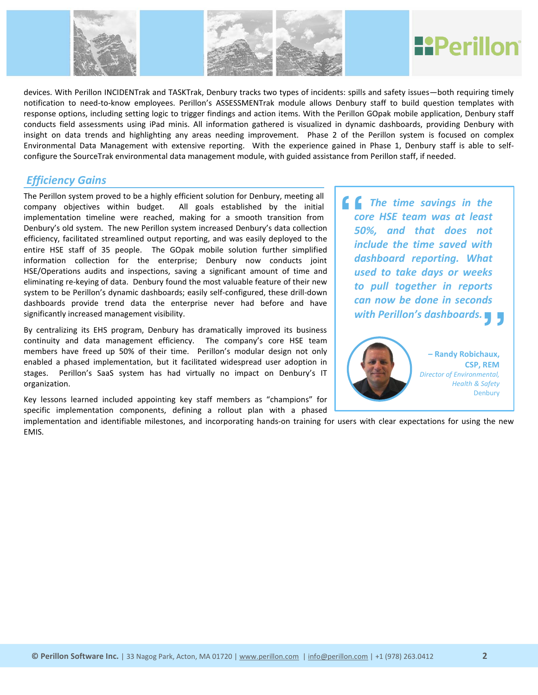

devices. With Perillon INCIDENTrak and TASKTrak, Denbury tracks two types of incidents: spills and safety issues—both requiring timely notification to need-to-know employees. Perillon's ASSESSMENTrak module allows Denbury staff to build question templates with response options, including setting logic to trigger findings and action items. With the Perillon GOpak mobile application, Denbury staff conducts field assessments using iPad minis. All information gathered is visualized in dynamic dashboards, providing Denbury with insight on data trends and highlighting any areas needing improvement. Phase 2 of the Perillon system is focused on complex Environmental Data Management with extensive reporting. With the experience gained in Phase 1, Denbury staff is able to selfconfigure the SourceTrak environmental data management module, with guided assistance from Perillon staff, if needed.

# *Efficiency Gains*

The Perillon system proved to be a highly efficient solution for Denbury, meeting all company objectives within budget. All goals established by the initial implementation timeline were reached, making for a smooth transition from Denbury's old system. The new Perillon system increased Denbury's data collection efficiency, facilitated streamlined output reporting, and was easily deployed to the entire HSE staff of 35 people. The GOpak mobile solution further simplified information collection for the enterprise; Denbury now conducts joint HSE/Operations audits and inspections, saving a significant amount of time and eliminating re-keying of data. Denbury found the most valuable feature of their new system to be Perillon's dynamic dashboards; easily self-configured, these drill-down dashboards provide trend data the enterprise never had before and have significantly increased management visibility.

By centralizing its EHS program, Denbury has dramatically improved its business continuity and data management efficiency. The company's core HSE team members have freed up 50% of their time. Perillon's modular design not only enabled a phased implementation, but it facilitated widespread user adoption in stages. Perillon's SaaS system has had virtually no impact on Denbury's IT organization.

Key lessons learned included appointing key staff members as "champions" for specific implementation components, defining a rollout plan with a phased

*Director of Environmental, Health & Safety* **Denbury** 

implementation and identifiable milestones, and incorporating hands-on training for users with clear expectations for using the new EMIS.

 *The time savings in the core HSE team was at least 50%, and that does not include the time saved with dashboard reporting. What used to take days or weeks to pull together in reports can now be done in seconds with Perillon's dashboards.***<br>
Frandy Robichaux,** "



**– Randy Robichaux CSP, REM**